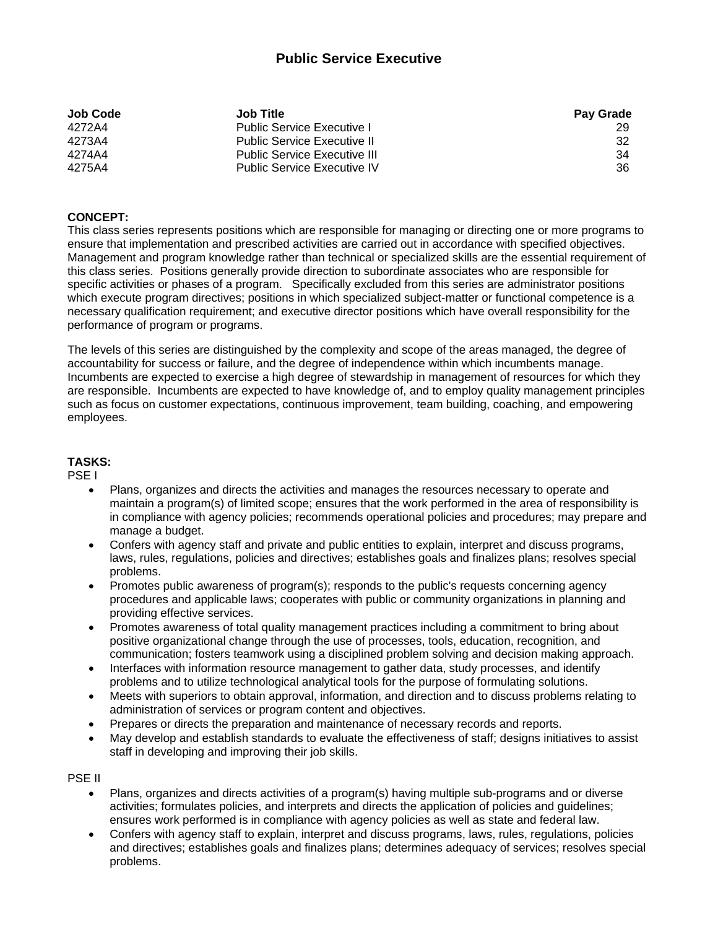# **Public Service Executive**

| Job Code | <b>Job Title</b>                    | <b>Pay Grade</b> |
|----------|-------------------------------------|------------------|
| 4272A4   | <b>Public Service Executive I</b>   | 29               |
| 4273A4   | <b>Public Service Executive II</b>  | 32               |
| 4274A4   | <b>Public Service Executive III</b> | 34               |
| 4275A4   | <b>Public Service Executive IV</b>  | 36               |

### **CONCEPT:**

This class series represents positions which are responsible for managing or directing one or more programs to ensure that implementation and prescribed activities are carried out in accordance with specified objectives. Management and program knowledge rather than technical or specialized skills are the essential requirement of this class series. Positions generally provide direction to subordinate associates who are responsible for specific activities or phases of a program. Specifically excluded from this series are administrator positions which execute program directives; positions in which specialized subject-matter or functional competence is a necessary qualification requirement; and executive director positions which have overall responsibility for the performance of program or programs.

The levels of this series are distinguished by the complexity and scope of the areas managed, the degree of accountability for success or failure, and the degree of independence within which incumbents manage. Incumbents are expected to exercise a high degree of stewardship in management of resources for which they are responsible. Incumbents are expected to have knowledge of, and to employ quality management principles such as focus on customer expectations, continuous improvement, team building, coaching, and empowering employees.

### **TASKS:**

PSE I

- Plans, organizes and directs the activities and manages the resources necessary to operate and maintain a program(s) of limited scope; ensures that the work performed in the area of responsibility is in compliance with agency policies; recommends operational policies and procedures; may prepare and manage a budget.
- Confers with agency staff and private and public entities to explain, interpret and discuss programs, laws, rules, regulations, policies and directives; establishes goals and finalizes plans; resolves special problems.
- Promotes public awareness of program(s); responds to the public's requests concerning agency procedures and applicable laws; cooperates with public or community organizations in planning and providing effective services.
- Promotes awareness of total quality management practices including a commitment to bring about positive organizational change through the use of processes, tools, education, recognition, and communication; fosters teamwork using a disciplined problem solving and decision making approach.
- Interfaces with information resource management to gather data, study processes, and identify problems and to utilize technological analytical tools for the purpose of formulating solutions.
- Meets with superiors to obtain approval, information, and direction and to discuss problems relating to administration of services or program content and objectives.
- Prepares or directs the preparation and maintenance of necessary records and reports.
- May develop and establish standards to evaluate the effectiveness of staff; designs initiatives to assist staff in developing and improving their job skills.

PSE II

- Plans, organizes and directs activities of a program(s) having multiple sub-programs and or diverse activities; formulates policies, and interprets and directs the application of policies and guidelines; ensures work performed is in compliance with agency policies as well as state and federal law.
- Confers with agency staff to explain, interpret and discuss programs, laws, rules, regulations, policies and directives; establishes goals and finalizes plans; determines adequacy of services; resolves special problems.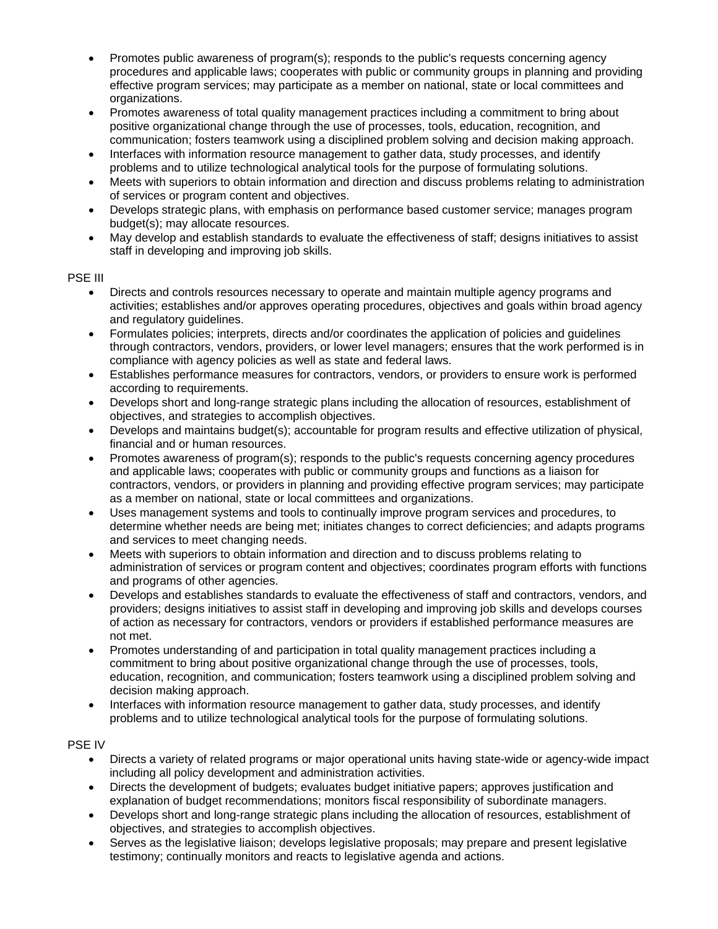- Promotes public awareness of program(s); responds to the public's requests concerning agency procedures and applicable laws; cooperates with public or community groups in planning and providing effective program services; may participate as a member on national, state or local committees and organizations.
- Promotes awareness of total quality management practices including a commitment to bring about positive organizational change through the use of processes, tools, education, recognition, and communication; fosters teamwork using a disciplined problem solving and decision making approach.
- Interfaces with information resource management to gather data, study processes, and identify problems and to utilize technological analytical tools for the purpose of formulating solutions.
- Meets with superiors to obtain information and direction and discuss problems relating to administration of services or program content and objectives.
- Develops strategic plans, with emphasis on performance based customer service; manages program budget(s); may allocate resources.
- May develop and establish standards to evaluate the effectiveness of staff; designs initiatives to assist staff in developing and improving job skills.

### PSE III

- Directs and controls resources necessary to operate and maintain multiple agency programs and activities; establishes and/or approves operating procedures, objectives and goals within broad agency and regulatory guidelines.
- Formulates policies; interprets, directs and/or coordinates the application of policies and guidelines through contractors, vendors, providers, or lower level managers; ensures that the work performed is in compliance with agency policies as well as state and federal laws.
- Establishes performance measures for contractors, vendors, or providers to ensure work is performed according to requirements.
- Develops short and long-range strategic plans including the allocation of resources, establishment of objectives, and strategies to accomplish objectives.
- Develops and maintains budget(s); accountable for program results and effective utilization of physical, financial and or human resources.
- Promotes awareness of program(s); responds to the public's requests concerning agency procedures and applicable laws; cooperates with public or community groups and functions as a liaison for contractors, vendors, or providers in planning and providing effective program services; may participate as a member on national, state or local committees and organizations.
- Uses management systems and tools to continually improve program services and procedures, to determine whether needs are being met; initiates changes to correct deficiencies; and adapts programs and services to meet changing needs.
- Meets with superiors to obtain information and direction and to discuss problems relating to administration of services or program content and objectives; coordinates program efforts with functions and programs of other agencies.
- Develops and establishes standards to evaluate the effectiveness of staff and contractors, vendors, and providers; designs initiatives to assist staff in developing and improving job skills and develops courses of action as necessary for contractors, vendors or providers if established performance measures are not met.
- Promotes understanding of and participation in total quality management practices including a commitment to bring about positive organizational change through the use of processes, tools, education, recognition, and communication; fosters teamwork using a disciplined problem solving and decision making approach.
- Interfaces with information resource management to gather data, study processes, and identify problems and to utilize technological analytical tools for the purpose of formulating solutions.

## PSE IV

- Directs a variety of related programs or major operational units having state-wide or agency-wide impact including all policy development and administration activities.
- Directs the development of budgets; evaluates budget initiative papers; approves justification and explanation of budget recommendations; monitors fiscal responsibility of subordinate managers.
- Develops short and long-range strategic plans including the allocation of resources, establishment of objectives, and strategies to accomplish objectives.
- Serves as the legislative liaison; develops legislative proposals; may prepare and present legislative testimony; continually monitors and reacts to legislative agenda and actions.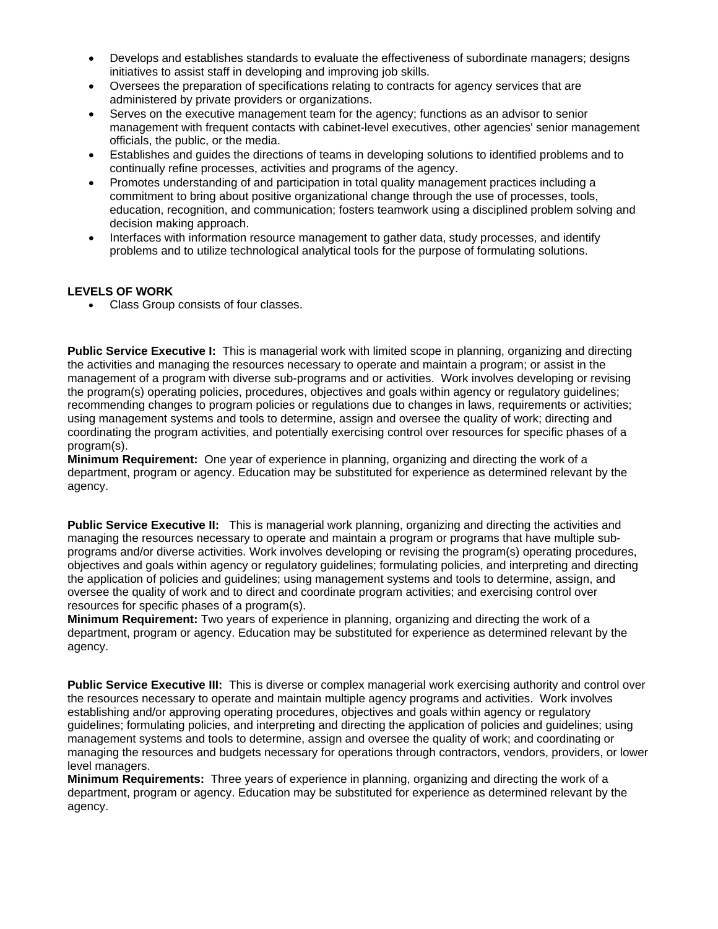- Develops and establishes standards to evaluate the effectiveness of subordinate managers; designs initiatives to assist staff in developing and improving job skills.
- Oversees the preparation of specifications relating to contracts for agency services that are administered by private providers or organizations.
- Serves on the executive management team for the agency; functions as an advisor to senior management with frequent contacts with cabinet-level executives, other agencies' senior management officials, the public, or the media.
- Establishes and guides the directions of teams in developing solutions to identified problems and to continually refine processes, activities and programs of the agency.
- Promotes understanding of and participation in total quality management practices including a commitment to bring about positive organizational change through the use of processes, tools, education, recognition, and communication; fosters teamwork using a disciplined problem solving and decision making approach.
- Interfaces with information resource management to gather data, study processes, and identify problems and to utilize technological analytical tools for the purpose of formulating solutions.

### **LEVELS OF WORK**

Class Group consists of four classes.

**Public Service Executive I:** This is managerial work with limited scope in planning, organizing and directing the activities and managing the resources necessary to operate and maintain a program; or assist in the management of a program with diverse sub-programs and or activities. Work involves developing or revising the program(s) operating policies, procedures, objectives and goals within agency or regulatory guidelines; recommending changes to program policies or regulations due to changes in laws, requirements or activities; using management systems and tools to determine, assign and oversee the quality of work; directing and coordinating the program activities, and potentially exercising control over resources for specific phases of a program(s).

**Minimum Requirement:** One year of experience in planning, organizing and directing the work of a department, program or agency. Education may be substituted for experience as determined relevant by the agency.

**Public Service Executive II:** This is managerial work planning, organizing and directing the activities and managing the resources necessary to operate and maintain a program or programs that have multiple subprograms and/or diverse activities. Work involves developing or revising the program(s) operating procedures, objectives and goals within agency or regulatory guidelines; formulating policies, and interpreting and directing the application of policies and guidelines; using management systems and tools to determine, assign, and oversee the quality of work and to direct and coordinate program activities; and exercising control over resources for specific phases of a program(s).

**Minimum Requirement:** Two years of experience in planning, organizing and directing the work of a department, program or agency. Education may be substituted for experience as determined relevant by the agency.

**Public Service Executive III:** This is diverse or complex managerial work exercising authority and control over the resources necessary to operate and maintain multiple agency programs and activities. Work involves establishing and/or approving operating procedures, objectives and goals within agency or regulatory guidelines; formulating policies, and interpreting and directing the application of policies and guidelines; using management systems and tools to determine, assign and oversee the quality of work; and coordinating or managing the resources and budgets necessary for operations through contractors, vendors, providers, or lower level managers.

**Minimum Requirements:** Three years of experience in planning, organizing and directing the work of a department, program or agency. Education may be substituted for experience as determined relevant by the agency.